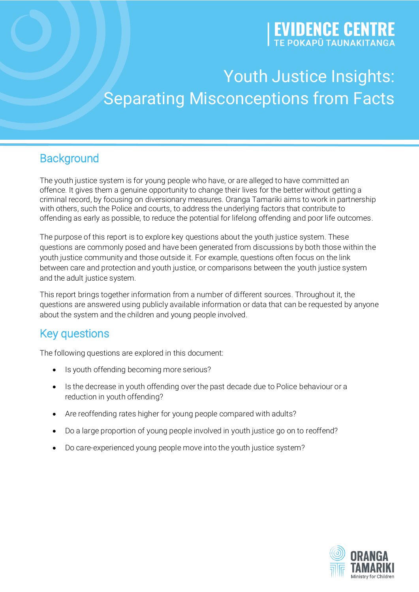# **EVIDENCE CENTRE**

## Youth Justice Insights: Separating Misconceptions from Facts

## **Background**

The youth justice system is for young people who have, or are alleged to have committed an offence. It gives them a genuine opportunity to change their lives for the better without getting a criminal record, by focusing on diversionary measures. Oranga Tamariki aims to work in partnership with others, such the Police and courts, to address the underlying factors that contribute to offending as early as possible, to reduce the potential for lifelong offending and poor life outcomes.

The purpose of this report is to explore key questions about the youth justice system. These questions are commonly posed and have been generated from discussions by both those within the youth justice community and those outside it. For example, questions often focus on the link between care and protection and youth justice, or comparisons between the youth justice system and the adult justice system.

This report brings together information from a number of different sources. Throughout it, the questions are answered using publicly available information or data that can be requested by anyone about the system and the children and young people involved.

## Key questions

The following questions are explored in this document:

- Is youth offending becoming more serious?
- Is the decrease in youth offending over the past decade due to Police behaviour or a reduction in youth offending?
- Are reoffending rates higher for young people compared with adults?
- Do a large proportion of young people involved in youth justice go on to reoffend?
- Do care-experienced young people move into the youth justice system?

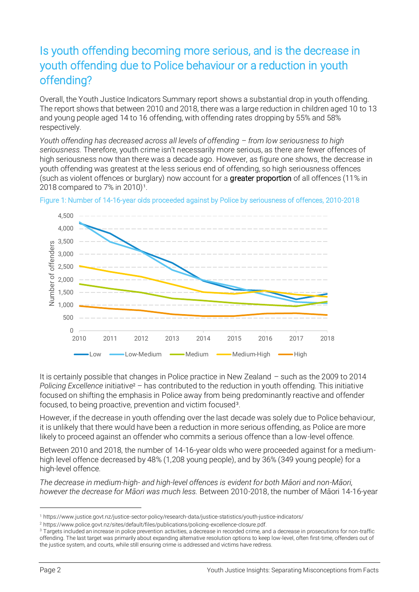## Is youth offending becoming more serious, and is the decrease in youth offending due to Police behaviour or a reduction in youth offending?

Overall, the Youth Justice Indicators Summary report shows a substantial drop in youth offending. The report shows that between 2010 and 2018, there was a large reduction in children aged 10 to 13 and young people aged 14 to 16 offending, with offending rates dropping by 55% and 58% respectively.

*Youth offending has decreased across all levels of offending – from low seriousness to high seriousness.* Therefore, youth crime isn't necessarily more serious, as there are fewer offences of high seriousness now than there was a decade ago. However, as figure one shows, the decrease in youth offending was greatest at the less serious end of offending, so high seriousness offences (such as violent offences or burglary) now account for a greater proportion of all offences (11% in 2018 compared to 7% in 2010)<sup>1</sup>.



Figure 1: Number of 14-16-year olds proceeded against by Police by seriousness of offences, 2010-2018

It is certainly possible that changes in Police practice in New Zealand – such as the 2009 to 2014 *Policing Excellence* initiative<sup>2</sup> – has contributed to the reduction in youth offending. This initiative focused on shifting the emphasis in Police away from being predominantly reactive and offender focused, to being proactive, prevention and victim focused<sup>3</sup>.

However, if the decrease in youth offending over the last decade was solely due to Police behaviour, it is unlikely that there would have been a reduction in more serious offending, as Police are more likely to proceed against an offender who commits a serious offence than a low-level offence.

Between 2010 and 2018, the number of 14-16-year olds who were proceeded against for a mediumhigh level offence decreased by 48% (1,208 young people), and by 36% (349 young people) for a high-level offence.

*The decrease in medium-high- and high-level offences is evident for both Māori and non-Māori, however the decrease for Māori was much less.* Between 2010-2018, the number of Māori 14-16-year

<sup>1</sup> https://www.justice.govt.nz/justice-sector-policy/research-data/justice-statistics/youth-justice-indicators/

<sup>2</sup> https://www.police.govt.nz/sites/default/files/publications/policing-excellence-closure.pdf.

<sup>3</sup> Targets included an increase in police prevention activities, a decrease in recorded crime, and a decrease in prosecutions for non-traffic offending. The last target was primarily about expanding alternative resolution options to keep low-level, often first-time, offenders out of the justice system, and courts, while still ensuring crime is addressed and victims have redress.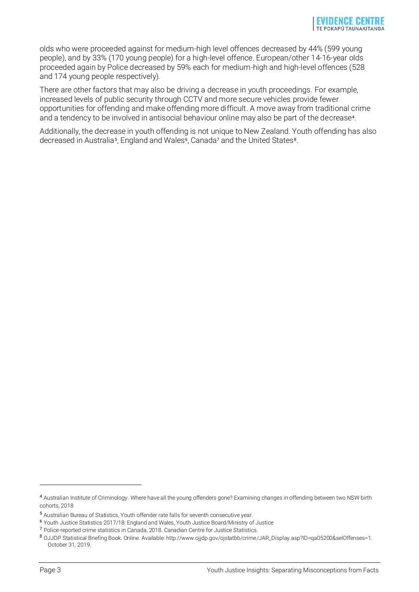olds who were proceeded against for medium-high level offences decreased by 44% (599 young people), and by 33% (170 young people) for a high-level offence. European/other 14-16-year olds proceeded again by Police decreased by 59% each for medium-high and high-level offences (528 and 174 young people respectively).

There are other factors that may also be driving a decrease in youth proceedings. For example, increased levels of public security through CCTV and more secure vehicles provide fewer opportunities for offending and make offending more difficult. A move away from traditional crime and a tendency to be involved in antisocial behaviour online may also be part of the decrease<sup>4</sup>.

Additionally, the decrease in youth offending is not unique to New Zealand. Youth offending has also decreased in Australia<sup>5</sup>, England and Wales<sup>6</sup>, Canada<sup>7</sup> and the United States<sup>8</sup>.

<sup>4</sup> Australian Institute of Criminology. Where have all the young offenders gone? Examining changes in offending between two NSW birth cohorts, 2018

<sup>5</sup> [Australian Bureau of Statistics, Youth offender rate falls for seventh consecutive year.](https://www.abs.gov.au/ausstats/abs@.nsf/Lookup/by%20Subject/4519.0~2016-17~Media%20Release~Youth%20offender%20rate%20falls%20for%20seventh%20consecutive%20year%20(Media%20Release)~17#:~:targetText=The%20youth%20offender%20rate%20decreased,persons%20aged%2010%20to%2017.)

<sup>6</sup> Youth Justice Statistics 2017/18: England and Wales, Youth Justice Board/Ministry of Justice

<sup>7</sup> Police-reported crime statistics in Canada, 2018. Canadian Centre for Justice Statistics.

<sup>8</sup> OJJDP Statistical Briefing Book. Online. Available: http://www.ojjdp.gov/ojstatbb/crime/JAR\_Display.asp?ID=qa05200&selOffenses=1. October 31, 2019.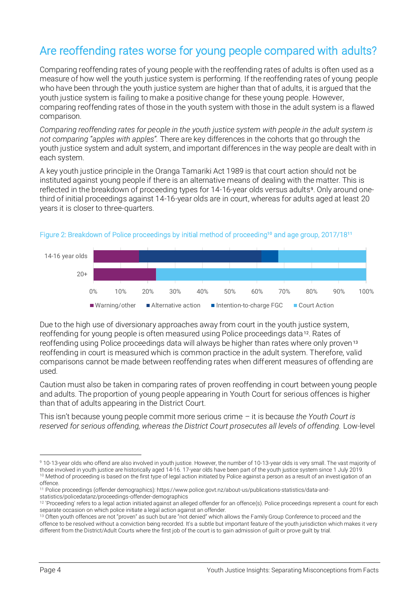## Are reoffending rates worse for young people compared with adults?

Comparing reoffending rates of young people with the reoffending rates of adults is often used as a measure of how well the youth justice system is performing. If the reoffending rates of young people who have been through the youth justice system are higher than that of adults, it is argued that the youth justice system is failing to make a positive change for these young people. However, comparing reoffending rates of those in the youth system with those in the adult system is a flawed comparison.

*Comparing reoffending rates for people in the youth justice system with people in the adult system is not comparing "apples with apples".* There are key differences in the cohorts that go through the youth justice system and adult system, and important differences in the way people are dealt with in each system.

A key youth justice principle in the Oranga Tamariki Act 1989 is that court action should not be instituted against young people if there is an alternative means of dealing with the matter. This is reflected in the breakdown of proceeding types for 14-16-year olds versus adults<sup>9</sup>. Only around onethird of initial proceedings against 14-16-year olds are in court, whereas for adults aged at least 20 years it is closer to three-quarters.



#### Figure 2: Breakdown of Police proceedings by initial method of proceeding**<sup>10</sup>** and age group, 2017/18**<sup>11</sup>**

Due to the high use of diversionary approaches away from court in the youth justice system, reoffending for young people is often measured using Police proceedings data <sup>12</sup>. Rates of reoffending using Police proceedings data will always be higher than rates where only proven <sup>13</sup> reoffending in court is measured which is common practice in the adult system. Therefore, valid comparisons cannot be made between reoffending rates when different measures of offending are used.

Caution must also be taken in comparing rates of proven reoffending in court between young people and adults. The proportion of young people appearing in Youth Court for serious offences is higher than that of adults appearing in the District Court.

This isn't because young people commit more serious crime – it is because *the Youth Court is reserved for serious offending, whereas the District Court prosecutes all levels of offending.* Low-level

<sup>9</sup> 10-13-year olds who offend are also involved in youth justice. However, the number of 10-13-year olds is very small. The vast majority of those involved in youth justice are historically aged 14-16. 17-year olds have been part of the youth justice system since 1 July 2019. <sup>10</sup> Method of proceeding is based on the first type of legal action initiated by Police against a person as a result of an investigation of an offence.

<sup>11</sup> Police proceedings (offender demographics): https://www.police.govt.nz/about-us/publications-statistics/data-andstatistics/policedatanz/proceedings-offender-demographics

<sup>&</sup>lt;sup>12</sup> 'Proceeding' refers to a legal action initiated against an alleged offender for an offence(s). Police proceedings represent a count for each separate occasion on which police initiate a legal action against an offender.

<sup>13</sup> Often youth offences are not "proven" as such but are "not denied" which allows the Family Group Conference to proceed and the offence to be resolved without a conviction being recorded. It's a subtle but important feature of the youth jurisdiction which makes it very different from the District/Adult Courts where the first job of the court is to gain admission of guilt or prove guilt by trial.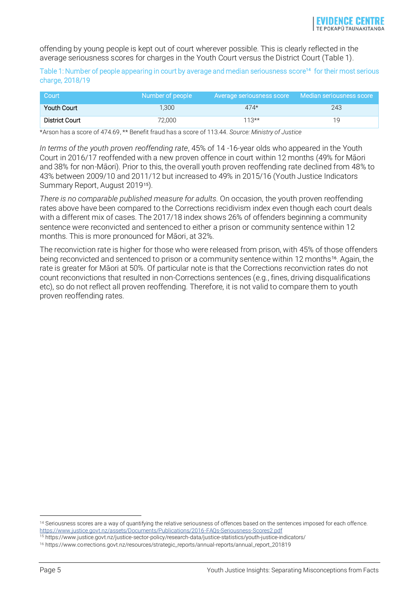offending by young people is kept out of court wherever possible. This is clearly reflected in the average seriousness scores for charges in the Youth Court versus the District Court (Table 1).

Table 1: Number of people appearing in court by average and median seriousness score**<sup>14</sup>** for their most serious charge, 2018/19

| Court          | Number of people | But Average seriousness score Aledian seriousness score " |     |
|----------------|------------------|-----------------------------------------------------------|-----|
| Youth Court    | 1.300            | $474*$                                                    | 243 |
| District Court | 72.000           | $113**$                                                   | 1 Q |

\*Arson has a score of 474.69, \*\* Benefit fraud has a score of 113.44. *Source: Ministry of Justice*

*In terms of the youth proven reoffending rate*, 45% of 14 -16-year olds who appeared in the Youth Court in 2016/17 reoffended with a new proven offence in court within 12 months (49% for Māori and 38% for non-Māori). Prior to this, the overall youth proven reoffending rate declined from 48% to 43% between 2009/10 and 2011/12 but increased to 49% in 2015/16 (Youth Justice Indicators Summary Report, August 201915).

*There is no comparable published measure for adults.* On occasion, the youth proven reoffending rates above have been compared to the Corrections recidivism index even though each court deals with a different mix of cases. The 2017/18 index shows 26% of offenders beginning a community sentence were reconvicted and sentenced to either a prison or community sentence within 12 months. This is more pronounced for Māori, at 32%.

The reconviction rate is higher for those who were released from prison, with 45% of those offenders being reconvicted and sentenced to prison or a community sentence within 12 months16. Again, the rate is greater for Māori at 50%. Of particular note is that the Corrections reconviction rates do not count reconvictions that resulted in non-Corrections sentences (e.g., fines, driving disqualifications etc), so do not reflect all proven reoffending. Therefore, it is not valid to compare them to youth proven reoffending rates.

<sup>&</sup>lt;sup>14</sup> Seriousness scores are a way of quantifying the relative seriousness of offences based on the sentences imposed for each offence. <https://www.justice.govt.nz/assets/Documents/Publications/2016-FAQs-Seriousness-Scores2.pdf>

<sup>15</sup> https://www.justice.govt.nz/justice-sector-policy/research-data/justice-statistics/youth-justice-indicators/

<sup>16</sup> https://www.corrections.govt.nz/resources/strategic\_reports/annual-reports/annual\_report\_201819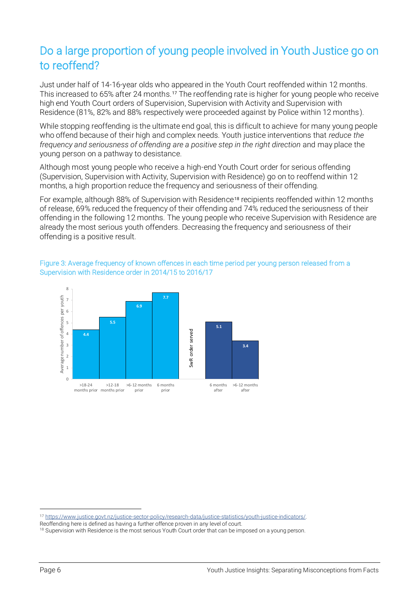## Do a large proportion of young people involved in Youth Justice go on to reoffend?

Just under half of 14-16-year olds who appeared in the Youth Court reoffended within 12 months. This increased to 65% after 24 months.<sup>17</sup> The reoffending rate is higher for young people who receive high end Youth Court orders of Supervision, Supervision with Activity and Supervision with Residence (81%, 82% and 88% respectively were proceeded against by Police within 12 months).

While stopping reoffending is the ultimate end goal, this is difficult to achieve for many young people who offend because of their high and complex needs. Youth justice interventions that *reduce the frequency and seriousness of offending are a positive step in the right direction* and may place the young person on a pathway to desistance.

Although most young people who receive a high-end Youth Court order for serious offending (Supervision, Supervision with Activity, Supervision with Residence) go on to reoffend within 12 months, a high proportion reduce the frequency and seriousness of their offending.

For example, although 88% of Supervision with Residence<sup>18</sup> recipients reoffended within 12 months of release, 69% reduced the frequency of their offending and 74% reduced the seriousness of their offending in the following 12 months. The young people who receive Supervision with Residence are already the most serious youth offenders. Decreasing the frequency and seriousness of their offending is a positive result.

#### Figure 3: Average frequency of known offences in each time period per young person released from a Supervision with Residence order in 2014/15 to 2016/17



<sup>17</sup> [https://www.justice.govt.nz/justice-sector-policy/research-data/justice-statistics/youth-justice-indicators/.](https://www.justice.govt.nz/justice-sector-policy/research-data/justice-statistics/youth-justice-indicators/)

Reoffending here is defined as having a further offence proven in any level of court.

<sup>&</sup>lt;sup>18</sup> Supervision with Residence is the most serious Youth Court order that can be imposed on a young person.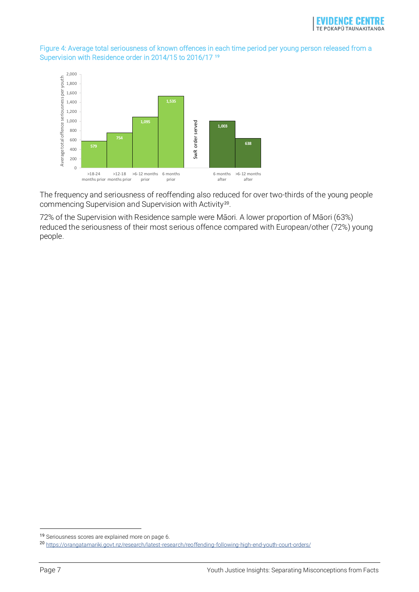#### Figure 4: Average total seriousness of known offences in each time period per young person released from a Supervision with Residence order in 2014/15 to 2016/17 **<sup>19</sup>**



The frequency and seriousness of reoffending also reduced for over two-thirds of the young people commencing Supervision and Supervision with Activity<sup>20</sup>.

72% of the Supervision with Residence sample were Māori. A lower proportion of Māori (63%) reduced the seriousness of their most serious offence compared with European/other (72%) young people.

<sup>19</sup> Seriousness scores are explained more on page 6.

<sup>20</sup> <https://orangatamariki.govt.nz/research/latest-research/reoffending-following-high-end-youth-court-orders/>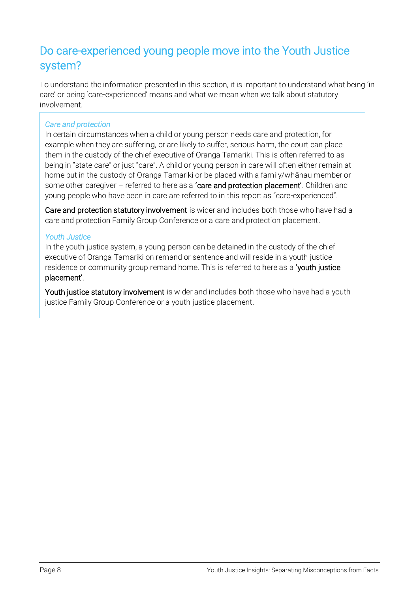## Do care-experienced young people move into the Youth Justice system?

To understand the information presented in this section, it is important to understand what being 'in care' or being 'care-experienced' means and what we mean when we talk about statutory involvement.

#### *Care and protection*

In certain circumstances when a child or young person needs care and protection, for example when they are suffering, or are likely to suffer, serious harm, the court can place them in the custody of the chief executive of Oranga Tamariki. This is often referred to as being in "state care" or just "care". A child or young person in care will often either remain at home but in the custody of Oranga Tamariki or be placed with a family/whānau member or some other caregiver – referred to here as a 'care and protection placement'. Children and young people who have been in care are referred to in this report as "care-experienced".

Care and protection statutory involvement is wider and includes both those who have had a care and protection Family Group Conference or a care and protection placement.

#### *Youth Justice*

In the youth justice system, a young person can be detained in the custody of the chief executive of Oranga Tamariki on remand or sentence and will reside in a youth justice residence or community group remand home. This is referred to here as a 'youth justice placement'.

Youth justice statutory involvement is wider and includes both those who have had a youth justice Family Group Conference or a youth justice placement.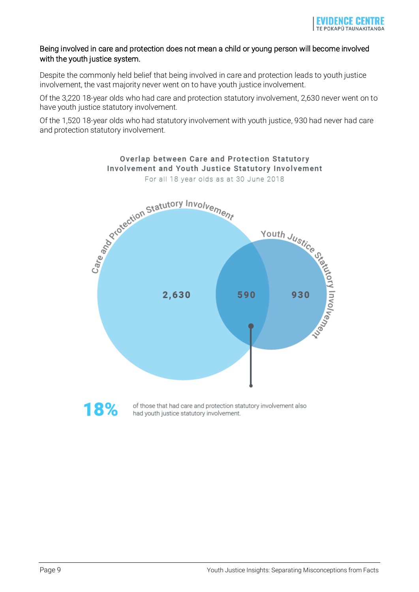#### Being involved in care and protection does not mean a child or young person will become involved with the youth justice system.

Despite the commonly held belief that being involved in care and protection leads to youth justice involvement, the vast majority never went on to have youth justice involvement.

Of the 3,220 18-year olds who had care and protection statutory involvement, 2,630 never went on to have youth justice statutory involvement.

Of the 1,520 18-year olds who had statutory involvement with youth justice, 930 had never had care and protection statutory involvement.



Involvement and Youth Justice Statutory Involvement For all 18 year olds as at 30 June 2018

Overlap between Care and Protection Statutory

of those that had care and protection statutory involvement also had youth justice statutory involvement.

18%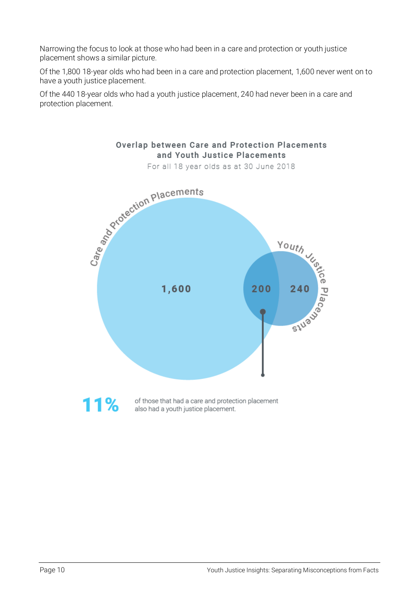Narrowing the focus to look at those who had been in a care and protection or youth justice placement shows a similar picture.

Of the 1,800 18-year olds who had been in a care and protection placement, 1,600 never went on to have a youth justice placement.

> Overlap between Care and Protection Placements and Youth Justice Placements

Of the 440 18-year olds who had a youth justice placement, 240 had never been in a care and protection placement.



 $11%$ of those that had a care and protection placement also had a youth justice placement.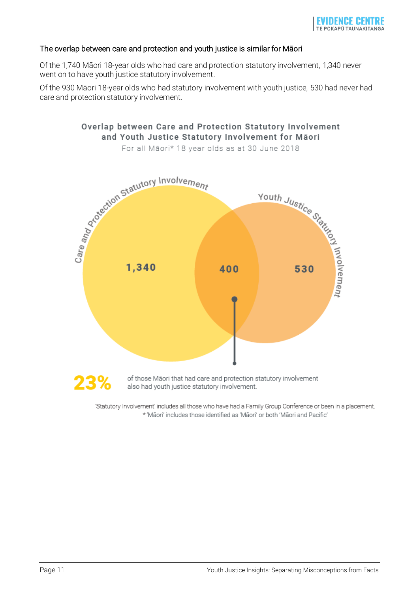#### The overlap between care and protection and youth justice is similar for Māori

Of the 1,740 Māori 18-year olds who had care and protection statutory involvement, 1,340 never went on to have youth justice statutory involvement.

Of the 930 Māori 18-year olds who had statutory involvement with youth justice, 530 had never had care and protection statutory involvement.



'Statutory Involvement' includes all those who have had a Family Group Conference or been in a placement. \* 'Māori' includes those identified as 'Māori' or both 'Māori and Pacific'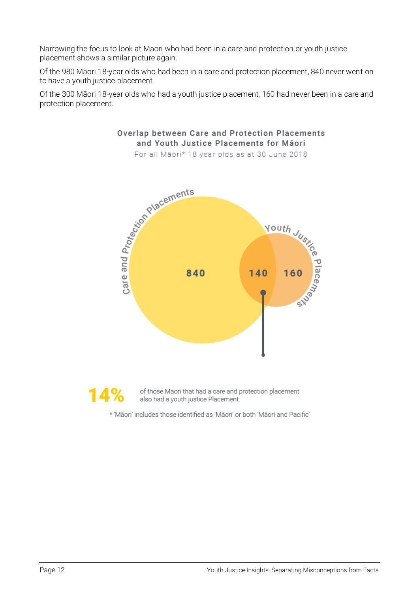Narrowing the focus to look at Māori who had been in a care and protection or youth justice placement shows a similar picture again.

Of the 980 Māori 18-year olds who had been in a care and protection placement, 840 never went on to have a youth justice placement.

Of the 300 Māori 18-year olds who had a youth justice placement, 160 had never been in a care and protection placement.

Overlap between Care and Protection Placements



14%

of those Maori that had a care and protection placement also had a youth justice Placement.

\* 'Māori' includes those identified as 'Māori' or both 'Māori and Pacific'